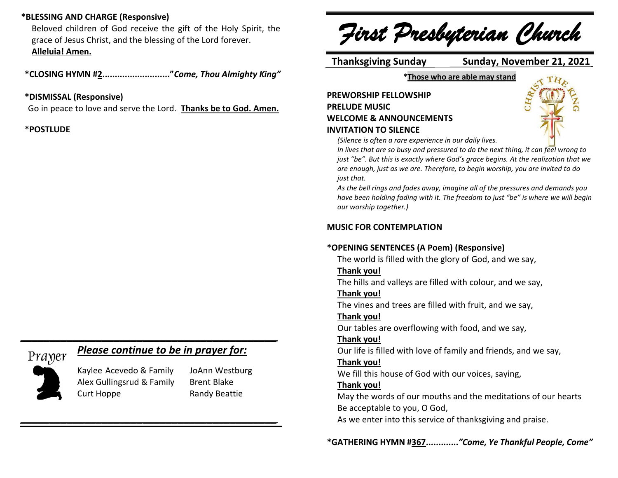## **\*BLESSING AND CHARGE (Responsive)**

Beloved children of God receive the gift of the Holy Spirit, the grace of Jesus Christ, and the blessing of the Lord forever. **Alleluia! Amen.**

**\*CLOSING HYMN #2..........................."***Come, Thou Almighty King"*

#### **\*DISMISSAL (Responsive)**

Go in peace to love and serve the Lord. **Thanks be to God. Amen.**

### **\*POSTLUDE**

# Prayer

## *Please continue to be in prayer for:*

*\_\_\_\_\_\_\_\_\_\_\_\_\_\_\_\_\_\_\_\_\_\_\_\_\_\_\_\_\_\_\_\_\_\_\_\_\_\_\_\_\_\_\_\_*



Kaylee Acevedo & Family JoAnn Westburg Alex Gullingsrud & Family Brent Blake Curt Hoppe Randy Beattie

*\_\_\_\_\_\_\_\_\_\_\_\_\_\_\_\_\_\_\_\_\_\_\_\_\_\_\_\_\_\_\_\_\_\_\_\_\_\_\_\_\_\_\_\_*

*First Presbyterian Church*

 **Thanksgiving Sunday Sunday, November 21, 2021**

**\*Those who are able may stand**

## **PREWORSHIP FELLOWSHIP PRELUDE MUSIC WELCOME & ANNOUNCEMENTS INVITATION TO SILENCE**



*(Silence is often a rare experience in our daily lives.*

*In lives that are so busy and pressured to do the next thing, it can feel wrong to just "be". But this is exactly where God's grace begins. At the realization that we are enough, just as we are. Therefore, to begin worship, you are invited to do just that.*

*As the bell rings and fades away, imagine all of the pressures and demands you have been holding fading with it. The freedom to just "be" is where we will begin our worship together.)*

### **MUSIC FOR CONTEMPLATION**

### **\*OPENING SENTENCES (A Poem) (Responsive)**

The world is filled with the glory of God, and we say,

### **Thank you!**

The hills and valleys are filled with colour, and we say,

### **Thank you!**

The vines and trees are filled with fruit, and we say,

## **Thank you!**

Our tables are overflowing with food, and we say,

### **Thank you!**

Our life is filled with love of family and friends, and we say,

## **Thank you!**

We fill this house of God with our voices, saying,

## **Thank you!**

May the words of our mouths and the meditations of our hearts Be acceptable to you, O God,

As we enter into this service of thanksgiving and praise.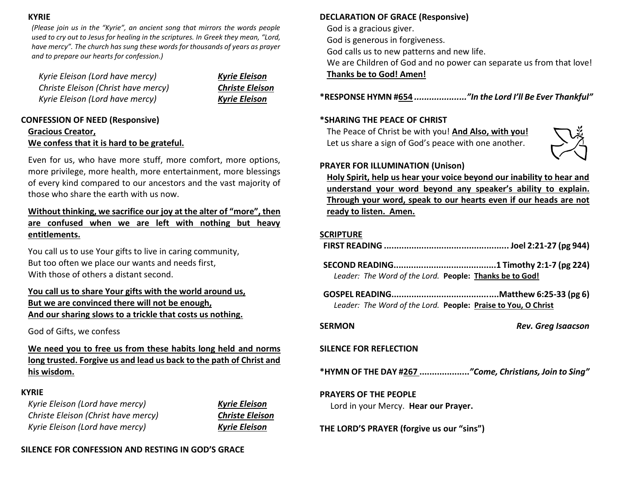#### **KYRIE**

*(Please join us in the "Kyrie", an ancient song that mirrors the words people used to cry out to Jesus for healing in the scriptures. In Greek they mean, "Lord, have mercy". The church has sung these words for thousands of years as prayer and to prepare our hearts for confession.)*

*Kyrie Eleison (Lord have mercy) Kyrie Eleison Christe Eleison (Christ have mercy) Christe Eleison Kyrie Eleison (Lord have mercy) Kyrie Eleison*

## **CONFESSION OF NEED (Responsive) Gracious Creator, We confess that it is hard to be grateful.**

Even for us, who have more stuff, more comfort, more options, more privilege, more health, more entertainment, more blessings of every kind compared to our ancestors and the vast majority of those who share the earth with us now.

## **Without thinking, we sacrifice our joy at the alter of "more", then are confused when we are left with nothing but heavy entitlements.**

You call us to use Your gifts to live in caring community, But too often we place our wants and needs first, With those of others a distant second.

## **You call us to share Your gifts with the world around us, But we are convinced there will not be enough, And our sharing slows to a trickle that costs us nothing.**

### God of Gifts, we confess

**We need you to free us from these habits long held and norms long trusted. Forgive us and lead us back to the path of Christ and his wisdom.**

### **KYRIE**

*Kyrie Eleison (Lord have mercy) Kyrie Eleison Christe Eleison (Christ have mercy) Christe Eleison Kyrie Eleison (Lord have mercy) Kyrie Eleison*

| Kyrie Eleison   |
|-----------------|
| Christe Eleison |
| Kyrie Eleison   |

### **SILENCE FOR CONFESSION AND RESTING IN GOD'S GRACE**

## **DECLARATION OF GRACE (Responsive)**

God is a gracious giver.

God is generous in forgiveness.

God calls us to new patterns and new life.

We are Children of God and no power can separate us from that love! **Thanks be to God! Amen!**

**\*RESPONSE HYMN #654** *....................."In the Lord I'll Be Ever Thankful"*

### **\*SHARING THE PEACE OF CHRIST**

The Peace of Christ be with you! **And Also, with you!** Let us share a sign of God's peace with one another.



## **PRAYER FOR ILLUMINATION (Unison)**

**Holy Spirit, help us hear your voice beyond our inability to hear and understand your word beyond any speaker's ability to explain. Through your word, speak to our hearts even if our heads are not ready to listen. Amen.**

### **SCRIPTURE**

- **FIRST READING .................................................. Joel 2:21-27 (pg 944)**
- **SECOND READING.........................................1 Timothy 2:1-7 (pg 224)** *Leader: The Word of the Lord.* **People: Thanks be to God!**
- **GOSPEL READING...........................................Matthew 6:25-33 (pg 6)** *Leader: The Word of the Lord.* **People: Praise to You, O Christ**

**SERMON** *Rev. Greg Isaacson*

## **SILENCE FOR REFLECTION**

**\*HYMN OF THE DAY #267 ....................***"Come, Christians, Join to Sing"*

### **PRAYERS OF THE PEOPLE**

Lord in your Mercy. **Hear our Prayer.**

**THE LORD'S PRAYER (forgive us our "sins")**